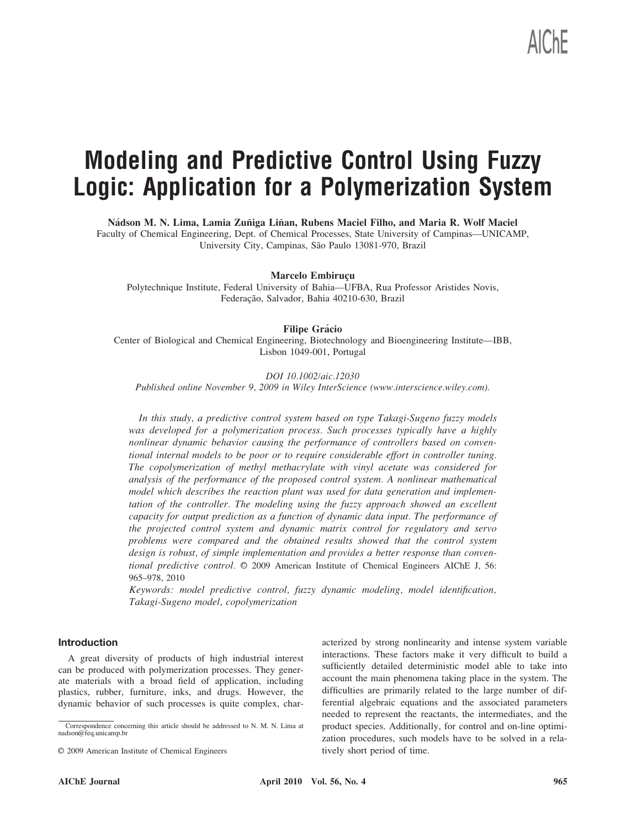# Modeling and Predictive Control Using Fuzzy Logic: Application for a Polymerization System

Nádson M. N. Lima, Lamia Zuñiga Liñan, Rubens Maciel Filho, and Maria R. Wolf Maciel

Faculty of Chemical Engineering, Dept. of Chemical Processes, State University of Campinas—UNICAMP, University City, Campinas, São Paulo 13081-970, Brazil

Marcelo Embirucu

Polytechnique Institute, Federal University of Bahia—UFBA, Rua Professor Aristides Novis, Federação, Salvador, Bahia 40210-630, Brazil

## Filipe Grácio

Center of Biological and Chemical Engineering, Biotechnology and Bioengineering Institute—IBB, Lisbon 1049-001, Portugal

## DOI 10.1002/aic.12030

Published online November 9, 2009 in Wiley InterScience (www.interscience.wiley.com).

In this study, a predictive control system based on type Takagi-Sugeno fuzzy models was developed for a polymerization process. Such processes typically have a highly nonlinear dynamic behavior causing the performance of controllers based on conventional internal models to be poor or to require considerable effort in controller tuning. The copolymerization of methyl methacrylate with vinyl acetate was considered for analysis of the performance of the proposed control system. A nonlinear mathematical model which describes the reaction plant was used for data generation and implementation of the controller. The modeling using the fuzzy approach showed an excellent capacity for output prediction as a function of dynamic data input. The performance of the projected control system and dynamic matrix control for regulatory and servo problems were compared and the obtained results showed that the control system design is robust, of simple implementation and provides a better response than conventional predictive control.  $\odot$  2009 American Institute of Chemical Engineers AIChE J, 56: 965–978, 2010

Keywords: model predictive control, fuzzy dynamic modeling, model identification, Takagi-Sugeno model, copolymerization

## Introduction

A great diversity of products of high industrial interest can be produced with polymerization processes. They generate materials with a broad field of application, including plastics, rubber, furniture, inks, and drugs. However, the dynamic behavior of such processes is quite complex, characterized by strong nonlinearity and intense system variable interactions. These factors make it very difficult to build a sufficiently detailed deterministic model able to take into account the main phenomena taking place in the system. The difficulties are primarily related to the large number of differential algebraic equations and the associated parameters needed to represent the reactants, the intermediates, and the product species. Additionally, for control and on-line optimization procedures, such models have to be solved in a relatively short period of time.

Correspondence concerning this article should be addressed to N. M. N. Lima at nadson@feq.unicamp.br

 $\odot$  2009 American Institute of Chemical Engineers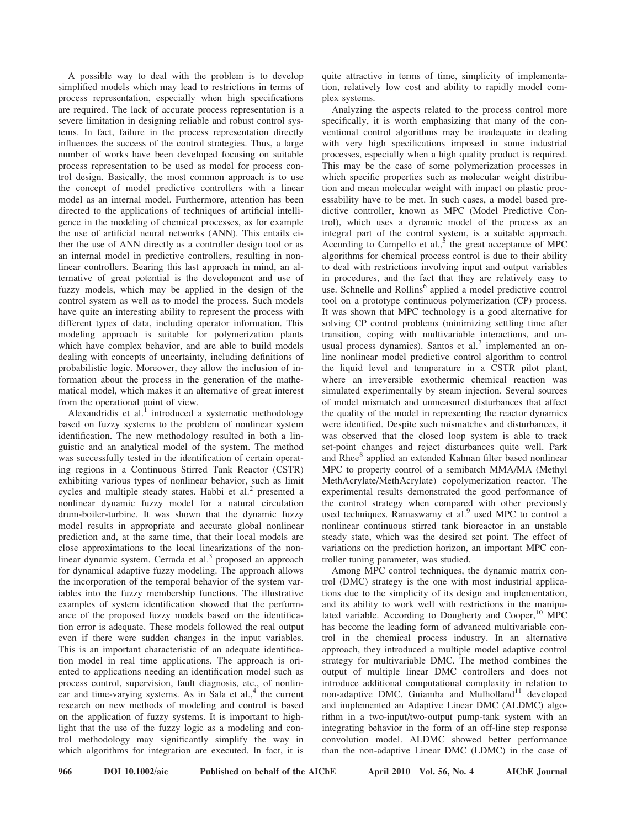A possible way to deal with the problem is to develop simplified models which may lead to restrictions in terms of process representation, especially when high specifications are required. The lack of accurate process representation is a severe limitation in designing reliable and robust control systems. In fact, failure in the process representation directly influences the success of the control strategies. Thus, a large number of works have been developed focusing on suitable process representation to be used as model for process control design. Basically, the most common approach is to use the concept of model predictive controllers with a linear model as an internal model. Furthermore, attention has been directed to the applications of techniques of artificial intelligence in the modeling of chemical processes, as for example the use of artificial neural networks (ANN). This entails either the use of ANN directly as a controller design tool or as an internal model in predictive controllers, resulting in nonlinear controllers. Bearing this last approach in mind, an alternative of great potential is the development and use of fuzzy models, which may be applied in the design of the control system as well as to model the process. Such models have quite an interesting ability to represent the process with different types of data, including operator information. This modeling approach is suitable for polymerization plants which have complex behavior, and are able to build models dealing with concepts of uncertainty, including definitions of probabilistic logic. Moreover, they allow the inclusion of information about the process in the generation of the mathematical model, which makes it an alternative of great interest from the operational point of view.

Alexandridis et al. $<sup>1</sup>$  introduced a systematic methodology</sup> based on fuzzy systems to the problem of nonlinear system identification. The new methodology resulted in both a linguistic and an analytical model of the system. The method was successfully tested in the identification of certain operating regions in a Continuous Stirred Tank Reactor (CSTR) exhibiting various types of nonlinear behavior, such as limit cycles and multiple steady states. Habbi et al. <sup>2</sup> presented a nonlinear dynamic fuzzy model for a natural circulation drum-boiler-turbine. It was shown that the dynamic fuzzy model results in appropriate and accurate global nonlinear prediction and, at the same time, that their local models are close approximations to the local linearizations of the nonlinear dynamic system. Cerrada et al.<sup>3</sup> proposed an approach for dynamical adaptive fuzzy modeling. The approach allows the incorporation of the temporal behavior of the system variables into the fuzzy membership functions. The illustrative examples of system identification showed that the performance of the proposed fuzzy models based on the identification error is adequate. These models followed the real output even if there were sudden changes in the input variables. This is an important characteristic of an adequate identification model in real time applications. The approach is oriented to applications needing an identification model such as process control, supervision, fault diagnosis, etc., of nonlinear and time-varying systems. As in Sala et al., $4$  the current research on new methods of modeling and control is based on the application of fuzzy systems. It is important to highlight that the use of the fuzzy logic as a modeling and control methodology may significantly simplify the way in which algorithms for integration are executed. In fact, it is quite attractive in terms of time, simplicity of implementation, relatively low cost and ability to rapidly model complex systems.

Analyzing the aspects related to the process control more specifically, it is worth emphasizing that many of the conventional control algorithms may be inadequate in dealing with very high specifications imposed in some industrial processes, especially when a high quality product is required. This may be the case of some polymerization processes in which specific properties such as molecular weight distribution and mean molecular weight with impact on plastic processability have to be met. In such cases, a model based predictive controller, known as MPC (Model Predictive Control), which uses a dynamic model of the process as an integral part of the control system, is a suitable approach. According to Campello et al.,<sup>5</sup> the great acceptance of MPC algorithms for chemical process control is due to their ability to deal with restrictions involving input and output variables in procedures, and the fact that they are relatively easy to use. Schnelle and Rollins<sup>6</sup> applied a model predictive control tool on a prototype continuous polymerization (CP) process. It was shown that MPC technology is a good alternative for solving CP control problems (minimizing settling time after transition, coping with multivariable interactions, and unusual process dynamics). Santos et al. <sup>7</sup> implemented an online nonlinear model predictive control algorithm to control the liquid level and temperature in a CSTR pilot plant, where an irreversible exothermic chemical reaction was simulated experimentally by steam injection. Several sources of model mismatch and unmeasured disturbances that affect the quality of the model in representing the reactor dynamics were identified. Despite such mismatches and disturbances, it was observed that the closed loop system is able to track set-point changes and reject disturbances quite well. Park and Rhee<sup>8</sup> applied an extended Kalman filter based nonlinear MPC to property control of a semibatch MMA/MA (Methyl MethAcrylate/MethAcrylate) copolymerization reactor. The experimental results demonstrated the good performance of the control strategy when compared with other previously used techniques. Ramaswamy et al.<sup>9</sup> used MPC to control a nonlinear continuous stirred tank bioreactor in an unstable steady state, which was the desired set point. The effect of variations on the prediction horizon, an important MPC controller tuning parameter, was studied.

Among MPC control techniques, the dynamic matrix control (DMC) strategy is the one with most industrial applications due to the simplicity of its design and implementation, and its ability to work well with restrictions in the manipulated variable. According to Dougherty and Cooper,  $^{10}$  MPC has become the leading form of advanced multivariable control in the chemical process industry. In an alternative approach, they introduced a multiple model adaptive control strategy for multivariable DMC. The method combines the output of multiple linear DMC controllers and does not introduce additional computational complexity in relation to non-adaptive DMC. Guiamba and Mulholland $^{11}$  developed and implemented an Adaptive Linear DMC (ALDMC) algorithm in a two-input/two-output pump-tank system with an integrating behavior in the form of an off-line step response convolution model. ALDMC showed better performance than the non-adaptive Linear DMC (LDMC) in the case of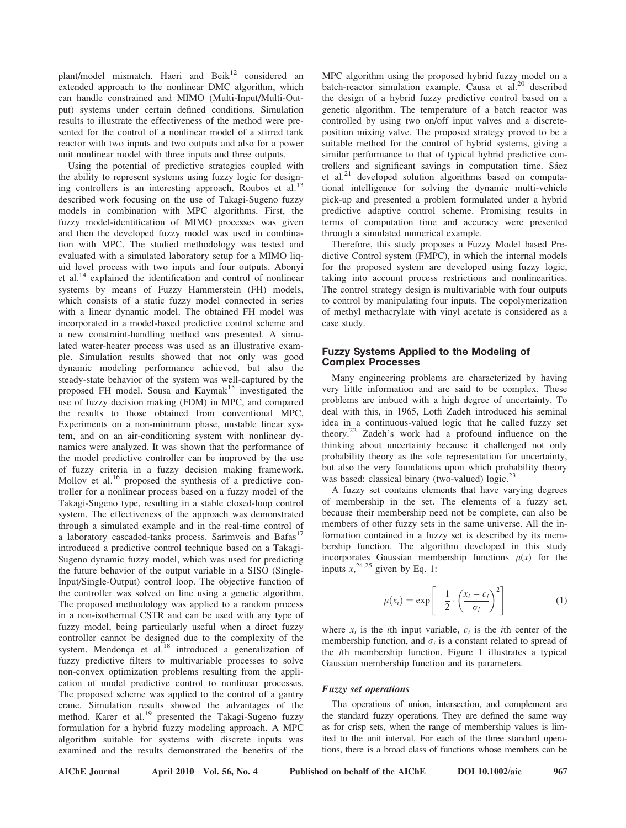plant/model mismatch. Haeri and Beik<sup>12</sup> considered an extended approach to the nonlinear DMC algorithm, which can handle constrained and MIMO (Multi-Input/Multi-Output) systems under certain defined conditions. Simulation results to illustrate the effectiveness of the method were presented for the control of a nonlinear model of a stirred tank reactor with two inputs and two outputs and also for a power unit nonlinear model with three inputs and three outputs.

Using the potential of predictive strategies coupled with the ability to represent systems using fuzzy logic for designing controllers is an interesting approach. Roubos et al.<sup>13</sup> described work focusing on the use of Takagi-Sugeno fuzzy models in combination with MPC algorithms. First, the fuzzy model-identification of MIMO processes was given and then the developed fuzzy model was used in combination with MPC. The studied methodology was tested and evaluated with a simulated laboratory setup for a MIMO liquid level process with two inputs and four outputs. Abonyi et al.<sup>14</sup> explained the identification and control of nonlinear systems by means of Fuzzy Hammerstein (FH) models, which consists of a static fuzzy model connected in series with a linear dynamic model. The obtained FH model was incorporated in a model-based predictive control scheme and a new constraint-handling method was presented. A simulated water-heater process was used as an illustrative example. Simulation results showed that not only was good dynamic modeling performance achieved, but also the steady-state behavior of the system was well-captured by the proposed FH model. Sousa and Kaymak<sup>15</sup> investigated the use of fuzzy decision making (FDM) in MPC, and compared the results to those obtained from conventional MPC. Experiments on a non-minimum phase, unstable linear system, and on an air-conditioning system with nonlinear dynamics were analyzed. It was shown that the performance of the model predictive controller can be improved by the use of fuzzy criteria in a fuzzy decision making framework. Mollov et al. <sup>16</sup> proposed the synthesis of a predictive controller for a nonlinear process based on a fuzzy model of the Takagi-Sugeno type, resulting in a stable closed-loop control system. The effectiveness of the approach was demonstrated through a simulated example and in the real-time control of a laboratory cascaded-tanks process. Sarimveis and Bafas<sup>17</sup> introduced a predictive control technique based on a Takagi-Sugeno dynamic fuzzy model, which was used for predicting the future behavior of the output variable in a SISO (Single-Input/Single-Output) control loop. The objective function of the controller was solved on line using a genetic algorithm. The proposed methodology was applied to a random process in a non-isothermal CSTR and can be used with any type of fuzzy model, being particularly useful when a direct fuzzy controller cannot be designed due to the complexity of the system. Mendonça et al.<sup>18</sup> introduced a generalization of fuzzy predictive filters to multivariable processes to solve non-convex optimization problems resulting from the application of model predictive control to nonlinear processes. The proposed scheme was applied to the control of a gantry crane. Simulation results showed the advantages of the method. Karer et al.<sup>19</sup> presented the Takagi-Sugeno fuzzy formulation for a hybrid fuzzy modeling approach. A MPC algorithm suitable for systems with discrete inputs was examined and the results demonstrated the benefits of the

MPC algorithm using the proposed hybrid fuzzy model on a batch-reactor simulation example. Causa et al. <sup>20</sup> described the design of a hybrid fuzzy predictive control based on a genetic algorithm. The temperature of a batch reactor was controlled by using two on/off input valves and a discreteposition mixing valve. The proposed strategy proved to be a suitable method for the control of hybrid systems, giving a similar performance to that of typical hybrid predictive controllers and significant savings in computation time. Sáez et al. <sup>21</sup> developed solution algorithms based on computational intelligence for solving the dynamic multi-vehicle pick-up and presented a problem formulated under a hybrid predictive adaptive control scheme. Promising results in terms of computation time and accuracy were presented through a simulated numerical example.

Therefore, this study proposes a Fuzzy Model based Predictive Control system (FMPC), in which the internal models for the proposed system are developed using fuzzy logic, taking into account process restrictions and nonlinearities. The control strategy design is multivariable with four outputs to control by manipulating four inputs. The copolymerization of methyl methacrylate with vinyl acetate is considered as a case study.

# Fuzzy Systems Applied to the Modeling of Complex Processes

Many engineering problems are characterized by having very little information and are said to be complex. These problems are imbued with a high degree of uncertainty. To deal with this, in 1965, Lotfi Zadeh introduced his seminal idea in a continuous-valued logic that he called fuzzy set theory.22 Zadeh's work had a profound influence on the thinking about uncertainty because it challenged not only probability theory as the sole representation for uncertainty, but also the very foundations upon which probability theory was based: classical binary (two-valued)  $logic.<sup>23</sup>$ 

A fuzzy set contains elements that have varying degrees of membership in the set. The elements of a fuzzy set, because their membership need not be complete, can also be members of other fuzzy sets in the same universe. All the information contained in a fuzzy set is described by its membership function. The algorithm developed in this study incorporates Gaussian membership functions  $\mu(x)$  for the inputs  $x,^{24,25}$  given by Eq. 1:

$$
\mu(x_i) = \exp\left[-\frac{1}{2} \cdot \left(\frac{x_i - c_i}{\sigma_i}\right)^2\right]
$$
 (1)

where  $x_i$  is the *i*th input variable,  $c_i$  is the *i*th center of the membership function, and  $\sigma_i$  is a constant related to spread of the ith membership function. Figure 1 illustrates a typical Gaussian membership function and its parameters.

## Fuzzy set operations

The operations of union, intersection, and complement are the standard fuzzy operations. They are defined the same way as for crisp sets, when the range of membership values is limited to the unit interval. For each of the three standard operations, there is a broad class of functions whose members can be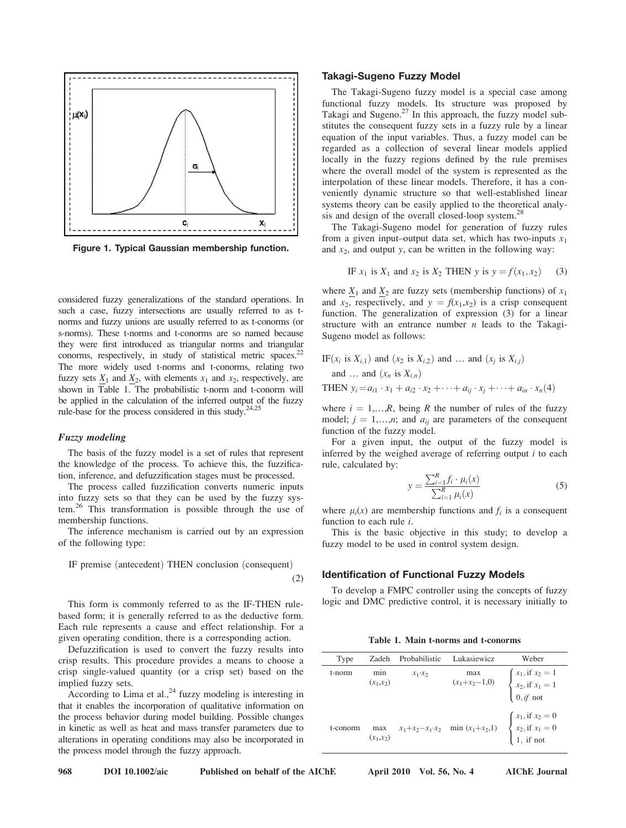

Figure 1. Typical Gaussian membership function.

considered fuzzy generalizations of the standard operations. In such a case, fuzzy intersections are usually referred to as tnorms and fuzzy unions are usually referred to as t-conorms (or s-norms). These t-norms and t-conorms are so named because they were first introduced as triangular norms and triangular conorms, respectively, in study of statistical metric spaces.<sup>22</sup> The more widely used t-norms and t-conorms, relating two fuzzy sets  $X_1$  and  $X_2$ , with elements  $x_1$  and  $x_2$ , respectively, are shown in Table 1. The probabilistic t-norm and t-conorm will be applied in the calculation of the inferred output of the fuzzy rule-base for the process considered in this study.<sup>24,25</sup>

#### Fuzzy modeling

The basis of the fuzzy model is a set of rules that represent the knowledge of the process. To achieve this, the fuzzification, inference, and defuzzification stages must be processed.

The process called fuzzification converts numeric inputs into fuzzy sets so that they can be used by the fuzzy system.<sup>26</sup> This transformation is possible through the use of membership functions.

The inference mechanism is carried out by an expression of the following type:

IF premise (antecedent) THEN conclusion (consequent) 
$$
(2)
$$

This form is commonly referred to as the IF-THEN rulebased form; it is generally referred to as the deductive form. Each rule represents a cause and effect relationship. For a given operating condition, there is a corresponding action.

Defuzzification is used to convert the fuzzy results into crisp results. This procedure provides a means to choose a crisp single-valued quantity (or a crisp set) based on the implied fuzzy sets.

According to Lima et al., $^{24}$  fuzzy modeling is interesting in that it enables the incorporation of qualitative information on the process behavior during model building. Possible changes in kinetic as well as heat and mass transfer parameters due to alterations in operating conditions may also be incorporated in the process model through the fuzzy approach.

968 DOI 10.1002/aic Published on behalf of the AIChE April 2010 Vol. 56, No. 4 AIChE Journal

Takagi-Sugeno Fuzzy Model

The Takagi-Sugeno fuzzy model is a special case among functional fuzzy models. Its structure was proposed by Takagi and Sugeno. $27$  In this approach, the fuzzy model substitutes the consequent fuzzy sets in a fuzzy rule by a linear equation of the input variables. Thus, a fuzzy model can be regarded as a collection of several linear models applied locally in the fuzzy regions defined by the rule premises where the overall model of the system is represented as the interpolation of these linear models. Therefore, it has a conveniently dynamic structure so that well-established linear systems theory can be easily applied to the theoretical analysis and design of the overall closed-loop system.<sup>2</sup>

The Takagi-Sugeno model for generation of fuzzy rules from a given input–output data set, which has two-inputs  $x_1$ and  $x_2$ , and output y, can be written in the following way:

IF 
$$
x_1
$$
 is  $X_1$  and  $x_2$  is  $X_2$  THEN y is  $y = f(x_1, x_2)$  (3)

where  $\underline{X}_1$  and  $\underline{X}_2$  are fuzzy sets (membership functions) of  $x_1$ and  $x_2$ , respectively, and  $y = f(x_1, x_2)$  is a crisp consequent function. The generalization of expression (3) for a linear structure with an entrance number  $n$  leads to the Takagi-Sugeno model as follows:

IF(
$$
x_i
$$
 is  $X_{i,1}$ ) and ( $x_2$  is  $X_{i,2}$ ) and ... and ( $x_j$  is  $X_{i,j}$ )  
and ... and ( $x_n$  is  $X_{i,n}$ )  
THEN  $y_i = a_{i1} \cdot x_1 + a_{i2} \cdot x_2 + \cdots + a_{ij} \cdot x_j + \cdots + a_{in} \cdot x_n$ (4)

where  $i = 1,...,R$ , being R the number of rules of the fuzzy model;  $j = 1,...,n$ ; and  $a_{ij}$  are parameters of the consequent function of the fuzzy model.

For a given input, the output of the fuzzy model is inferred by the weighed average of referring output  $i$  to each rule, calculated by:

$$
y = \frac{\sum_{i=1}^{R} f_i \cdot \mu_i(x)}{\sum_{i=1}^{R} \mu_i(x)}
$$
(5)

where  $\mu_i(x)$  are membership functions and  $f_i$  is a consequent function to each rule  $i$ .

This is the basic objective in this study; to develop a fuzzy model to be used in control system design.

## Identification of Functional Fuzzy Models

To develop a FMPC controller using the concepts of fuzzy logic and DMC predictive control, it is necessary initially to

Table 1. Main t-norms and t-conorms

| Type     | Zadeh              | Probabilistic   | Lukasiewicz | Weber                                                                                                                                        |
|----------|--------------------|-----------------|-------------|----------------------------------------------------------------------------------------------------------------------------------------------|
| t-norm   | min<br>$(x_1,x_2)$ | $x_1 \cdot x_2$ |             | max<br>$(x_1+x_2-1,0)$ $\begin{cases} x_1, \text{if } x_2 = 1 \\ x_2, \text{if } x_1 = 1 \\ 0, \text{if not} \end{cases}$                    |
| t-conorm | max<br>$(x_1,x_2)$ |                 |             | $x_1+x_2-x_1 \cdot x_2$ min $(x_1+x_2,1)$ $\begin{cases} x_1, \text{if } x_2 = 0 \\ x_2, \text{if } x_1 = 0 \\ 1, \text{if not} \end{cases}$ |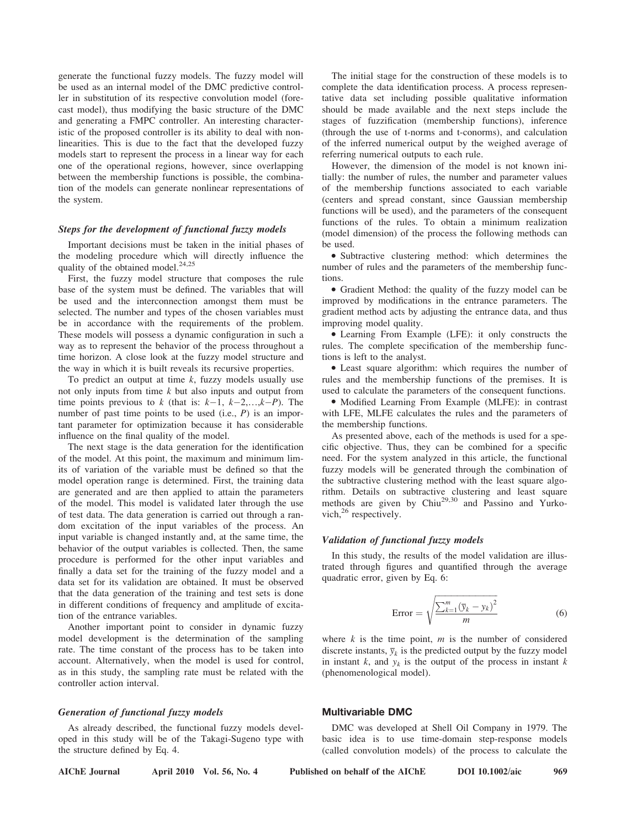generate the functional fuzzy models. The fuzzy model will be used as an internal model of the DMC predictive controller in substitution of its respective convolution model (forecast model), thus modifying the basic structure of the DMC and generating a FMPC controller. An interesting characteristic of the proposed controller is its ability to deal with nonlinearities. This is due to the fact that the developed fuzzy models start to represent the process in a linear way for each one of the operational regions, however, since overlapping between the membership functions is possible, the combination of the models can generate nonlinear representations of the system.

## Steps for the development of functional fuzzy models

Important decisions must be taken in the initial phases of the modeling procedure which will directly influence the quality of the obtained model. $24,25$ 

First, the fuzzy model structure that composes the rule base of the system must be defined. The variables that will be used and the interconnection amongst them must be selected. The number and types of the chosen variables must be in accordance with the requirements of the problem. These models will possess a dynamic configuration in such a way as to represent the behavior of the process throughout a time horizon. A close look at the fuzzy model structure and the way in which it is built reveals its recursive properties.

To predict an output at time  $k$ , fuzzy models usually use not only inputs from time  $k$  but also inputs and output from time points previous to k (that is:  $k-1$ ,  $k-2,...,k-P$ ). The number of past time points to be used  $(i.e., P)$  is an important parameter for optimization because it has considerable influence on the final quality of the model.

The next stage is the data generation for the identification of the model. At this point, the maximum and minimum limits of variation of the variable must be defined so that the model operation range is determined. First, the training data are generated and are then applied to attain the parameters of the model. This model is validated later through the use of test data. The data generation is carried out through a random excitation of the input variables of the process. An input variable is changed instantly and, at the same time, the behavior of the output variables is collected. Then, the same procedure is performed for the other input variables and finally a data set for the training of the fuzzy model and a data set for its validation are obtained. It must be observed that the data generation of the training and test sets is done in different conditions of frequency and amplitude of excitation of the entrance variables.

Another important point to consider in dynamic fuzzy model development is the determination of the sampling rate. The time constant of the process has to be taken into account. Alternatively, when the model is used for control, as in this study, the sampling rate must be related with the controller action interval.

## Generation of functional fuzzy models

As already described, the functional fuzzy models developed in this study will be of the Takagi-Sugeno type with the structure defined by Eq. 4.

The initial stage for the construction of these models is to complete the data identification process. A process representative data set including possible qualitative information should be made available and the next steps include the stages of fuzzification (membership functions), inference (through the use of t-norms and t-conorms), and calculation of the inferred numerical output by the weighed average of referring numerical outputs to each rule.

However, the dimension of the model is not known initially: the number of rules, the number and parameter values of the membership functions associated to each variable (centers and spread constant, since Gaussian membership functions will be used), and the parameters of the consequent functions of the rules. To obtain a minimum realization (model dimension) of the process the following methods can be used.

• Subtractive clustering method: which determines the number of rules and the parameters of the membership functions.

• Gradient Method: the quality of the fuzzy model can be improved by modifications in the entrance parameters. The gradient method acts by adjusting the entrance data, and thus improving model quality.

• Learning From Example (LFE): it only constructs the rules. The complete specification of the membership functions is left to the analyst.

• Least square algorithm: which requires the number of rules and the membership functions of the premises. It is used to calculate the parameters of the consequent functions.

• Modified Learning From Example (MLFE): in contrast with LFE, MLFE calculates the rules and the parameters of the membership functions.

As presented above, each of the methods is used for a specific objective. Thus, they can be combined for a specific need. For the system analyzed in this article, the functional fuzzy models will be generated through the combination of the subtractive clustering method with the least square algorithm. Details on subtractive clustering and least square methods are given by Chiu<sup>29,30</sup> and Passino and Yurkovich,<sup>26</sup> respectively.

#### Validation of functional fuzzy models

In this study, the results of the model validation are illustrated through figures and quantified through the average quadratic error, given by Eq. 6:

$$
Error = \sqrt{\frac{\sum_{k=1}^{m} (\overline{y}_k - y_k)^2}{m}}
$$
 (6)

where  $k$  is the time point,  $m$  is the number of considered discrete instants,  $\overline{y}_k$  is the predicted output by the fuzzy model in instant  $k$ , and  $y_k$  is the output of the process in instant  $k$ (phenomenological model).

## Multivariable DMC

DMC was developed at Shell Oil Company in 1979. The basic idea is to use time-domain step-response models (called convolution models) of the process to calculate the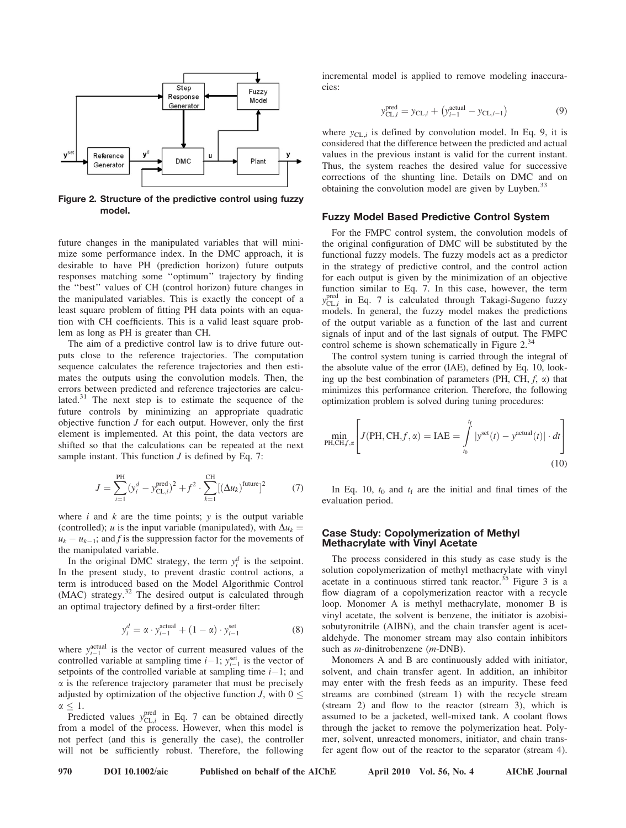

Figure 2. Structure of the predictive control using fuzzy model.

future changes in the manipulated variables that will minimize some performance index. In the DMC approach, it is desirable to have PH (prediction horizon) future outputs responses matching some ''optimum'' trajectory by finding the ''best'' values of CH (control horizon) future changes in the manipulated variables. This is exactly the concept of a least square problem of fitting PH data points with an equation with CH coefficients. This is a valid least square problem as long as PH is greater than CH.

The aim of a predictive control law is to drive future outputs close to the reference trajectories. The computation sequence calculates the reference trajectories and then estimates the outputs using the convolution models. Then, the errors between predicted and reference trajectories are calculated.<sup>31</sup> The next step is to estimate the sequence of the future controls by minimizing an appropriate quadratic objective function  $J$  for each output. However, only the first element is implemented. At this point, the data vectors are shifted so that the calculations can be repeated at the next sample instant. This function  $J$  is defined by Eq. 7:

$$
J = \sum_{i=1}^{PH} (y_i^d - y_{\text{CL},i}^{\text{pred}})^2 + f^2 \cdot \sum_{k=1}^{CH} [(\Delta u_k)^{\text{future}}]^2 \tag{7}
$$

where  $i$  and  $k$  are the time points;  $y$  is the output variable (controlled); u is the input variable (manipulated), with  $\Delta u_k =$  $u_k - u_{k-1}$ ; and f is the suppression factor for the movements of the manipulated variable.

In the original DMC strategy, the term  $y_i^d$  is the setpoint. In the present study, to prevent drastic control actions, a term is introduced based on the Model Algorithmic Control (MAC) strategy.<sup>32</sup> The desired output is calculated through an optimal trajectory defined by a first-order filter:

$$
y_i^d = \alpha \cdot y_{i-1}^{\text{actual}} + (1 - \alpha) \cdot y_{i-1}^{\text{set}} \tag{8}
$$

where  $y_{i-1}^{\text{actual}}$  is the vector of current measured values of the controlled variable at sampling time  $i-1$ ;  $y_{i-1}^{\text{set}}$  is the vector of setpoints of the controlled variable at sampling time  $i-1$ ; and  $\alpha$  is the reference trajectory parameter that must be precisely adjusted by optimization of the objective function J, with  $0 \le$  $\alpha \leq 1$ .

Predicted values  $y_{CL,i}^{pred}$  in Eq. 7 can be obtained directly from a model of the process. However, when this model is not perfect (and this is generally the case), the controller will not be sufficiently robust. Therefore, the following incremental model is applied to remove modeling inaccuracies:

$$
y_{\text{CL},i}^{\text{pred}} = y_{\text{CL},i} + (y_{i-1}^{\text{actual}} - y_{\text{CL},i-1})
$$
(9)

where  $y_{CL,i}$  is defined by convolution model. In Eq. 9, it is considered that the difference between the predicted and actual values in the previous instant is valid for the current instant. Thus, the system reaches the desired value for successive corrections of the shunting line. Details on DMC and on obtaining the convolution model are given by Luyben.<sup>33</sup>

## Fuzzy Model Based Predictive Control System

For the FMPC control system, the convolution models of the original configuration of DMC will be substituted by the functional fuzzy models. The fuzzy models act as a predictor in the strategy of predictive control, and the control action for each output is given by the minimization of an objective function similar to Eq. 7. In this case, however, the term  $y_{\text{CL},i}^{\text{pred}}$  in Eq. 7 is calculated through Takagi-Sugeno fuzzy models. In general, the fuzzy model makes the predictions of the output variable as a function of the last and current signals of input and of the last signals of output. The FMPC control scheme is shown schematically in Figure  $2^{34}$ 

The control system tuning is carried through the integral of the absolute value of the error (IAE), defined by Eq. 10, looking up the best combination of parameters (PH, CH,  $f$ ,  $\alpha$ ) that minimizes this performance criterion. Therefore, the following optimization problem is solved during tuning procedures:

$$
\min_{\text{PH,CH},f,\alpha} \left[ J(\text{PH, CH}, f, \alpha) = \text{IAE} = \int_{t_0}^{t_{\text{f}}} |y^{\text{set}}(t) - y^{\text{actual}}(t)| \cdot dt \right]
$$
\n(10)

In Eq. 10,  $t_0$  and  $t_f$  are the initial and final times of the evaluation period.

## Case Study: Copolymerization of Methyl Methacrylate with Vinyl Acetate

The process considered in this study as case study is the solution copolymerization of methyl methacrylate with vinyl acetate in a continuous stirred tank reactor.<sup>35</sup> Figure 3 is a flow diagram of a copolymerization reactor with a recycle loop. Monomer A is methyl methacrylate, monomer B is vinyl acetate, the solvent is benzene, the initiator is azobisisobutyronitrile (AIBN), and the chain transfer agent is acetaldehyde. The monomer stream may also contain inhibitors such as *m*-dinitrobenzene (*m*-DNB).

Monomers A and B are continuously added with initiator, solvent, and chain transfer agent. In addition, an inhibitor may enter with the fresh feeds as an impurity. These feed streams are combined (stream 1) with the recycle stream (stream 2) and flow to the reactor (stream 3), which is assumed to be a jacketed, well-mixed tank. A coolant flows through the jacket to remove the polymerization heat. Polymer, solvent, unreacted monomers, initiator, and chain transfer agent flow out of the reactor to the separator (stream 4).

970 DOI 10.1002/aic Published on behalf of the AIChE April 2010 Vol. 56, No. 4 AIChE Journal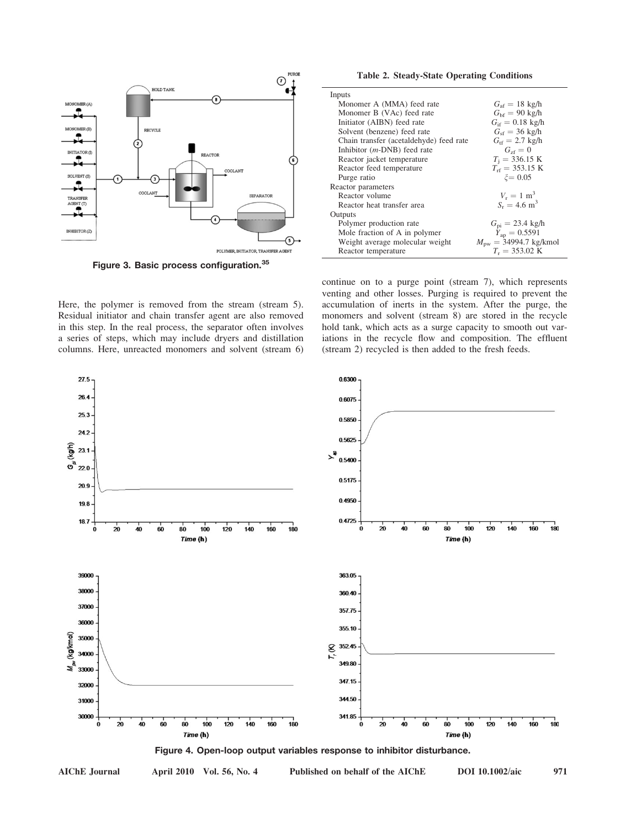

Figure 3. Basic process configuration.<sup>35</sup>

Here, the polymer is removed from the stream (stream 5). Residual initiator and chain transfer agent are also removed in this step. In the real process, the separator often involves a series of steps, which may include dryers and distillation columns. Here, unreacted monomers and solvent (stream 6)

Table 2. Steady-State Operating Conditions

| Inputs                                  |                                           |
|-----------------------------------------|-------------------------------------------|
| Monomer A (MMA) feed rate               | $G_{\rm af} = 18 \;{\rm kg/h}$            |
| Monomer B (VAc) feed rate               | $G_{\rm bf} = 90 \;{\rm kg/h}$            |
| Initiator (AIBN) feed rate              | $G_{\rm if} = 0.18 \;{\rm kg/h}$          |
| Solvent (benzene) feed rate             | $G_{\rm sf} = 36 \;{\rm kg/h}$            |
| Chain transfer (acetaldehyde) feed rate | $G_{\rm rf} = 2.7 \;{\rm kg/h}$           |
| Inhibitor $(m\text{-}DNB)$ feed rate    | $G_{\rm rf}=0$                            |
| Reactor jacket temperature              | $T_i = 336.15 \text{ K}$                  |
| Reactor feed temperature                | $T_{\rm rf} = 353.15~{\rm K}$             |
| Purge ratio                             | $\xi = 0.05$                              |
| Reactor parameters                      |                                           |
| Reactor volume                          | $V_r = 1 \text{ m}^3$                     |
| Reactor heat transfer area              | $S_r = 4.6$ m <sup>3</sup>                |
| Outputs                                 |                                           |
| Polymer production rate                 | $G_{\rm ni} = 23.4 \text{ kg/h}$          |
| Mole fraction of A in polymer           | $Y_{\rm an} = 0.5591$                     |
| Weight average molecular weight         | $M_{\text{nw}} = 34994.7 \text{ kg/kmol}$ |
| Reactor temperature                     | $T_r = 353.02 \text{ K}$                  |

continue on to a purge point (stream 7), which represents venting and other losses. Purging is required to prevent the accumulation of inerts in the system. After the purge, the monomers and solvent (stream 8) are stored in the recycle hold tank, which acts as a surge capacity to smooth out variations in the recycle flow and composition. The effluent (stream 2) recycled is then added to the fresh feeds.



Figure 4. Open-loop output variables response to inhibitor disturbance.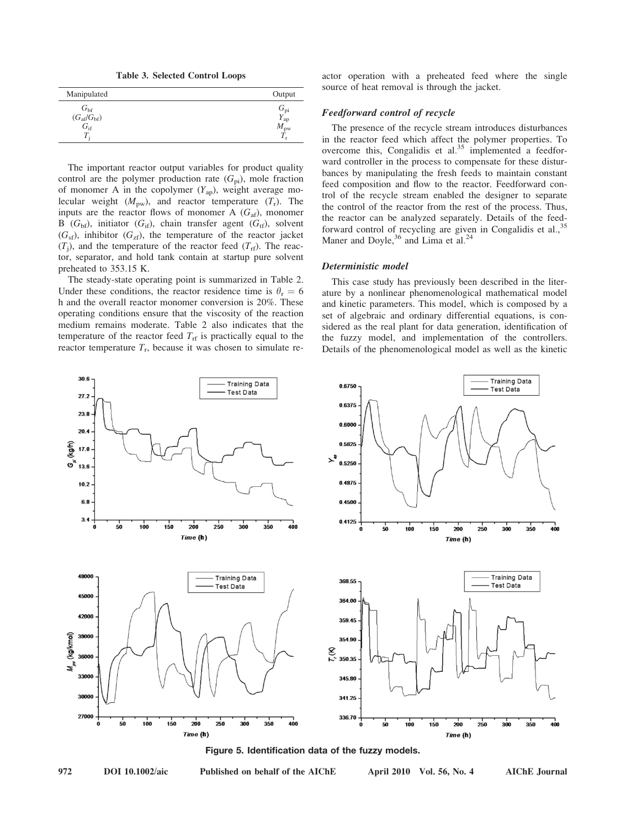Table 3. Selected Control Loops

| Manipulated                                     | Output                   |
|-------------------------------------------------|--------------------------|
| $G_{\rm bf}$<br>$(G_{\text{af}}/G_{\text{bf}})$ | $G_{\rm pi}$<br>$Y_{ap}$ |
| $G_{\rm if}$                                    | $M_{\rm pw}$             |
|                                                 |                          |

The important reactor output variables for product quality control are the polymer production rate  $(G_{pi})$ , mole fraction of monomer A in the copolymer  $(Y_{ap})$ , weight average molecular weight  $(M_{\text{pw}})$ , and reactor temperature  $(T_r)$ . The inputs are the reactor flows of monomer A  $(G_{af})$ , monomer B ( $G_{\text{bf}}$ ), initiator ( $G_{\text{if}}$ ), chain transfer agent ( $G_{\text{tf}}$ ), solvent  $(G_{\text{sf}})$ , inhibitor  $(G_{\text{sf}})$ , the temperature of the reactor jacket  $(T_i)$ , and the temperature of the reactor feed  $(T_{\text{rf}})$ . The reactor, separator, and hold tank contain at startup pure solvent preheated to 353.15 K.

The steady-state operating point is summarized in Table 2. Under these conditions, the reactor residence time is  $\theta_r = 6$ h and the overall reactor monomer conversion is 20%. These operating conditions ensure that the viscosity of the reaction medium remains moderate. Table 2 also indicates that the temperature of the reactor feed  $T_{\text{rf}}$  is practically equal to the reactor temperature  $T_r$ , because it was chosen to simulate reactor operation with a preheated feed where the single source of heat removal is through the jacket.

## Feedforward control of recycle

The presence of the recycle stream introduces disturbances in the reactor feed which affect the polymer properties. To overcome this, Congalidis et al. <sup>35</sup> implemented a feedforward controller in the process to compensate for these disturbances by manipulating the fresh feeds to maintain constant feed composition and flow to the reactor. Feedforward control of the recycle stream enabled the designer to separate the control of the reactor from the rest of the process. Thus, the reactor can be analyzed separately. Details of the feedforward control of recycling are given in Congalidis et al.,<sup>35</sup> Maner and Doyle, $36$  and Lima et al.<sup>24</sup>

## Deterministic model

This case study has previously been described in the literature by a nonlinear phenomenological mathematical model and kinetic parameters. This model, which is composed by a set of algebraic and ordinary differential equations, is considered as the real plant for data generation, identification of the fuzzy model, and implementation of the controllers. Details of the phenomenological model as well as the kinetic



Figure 5. Identification data of the fuzzy models.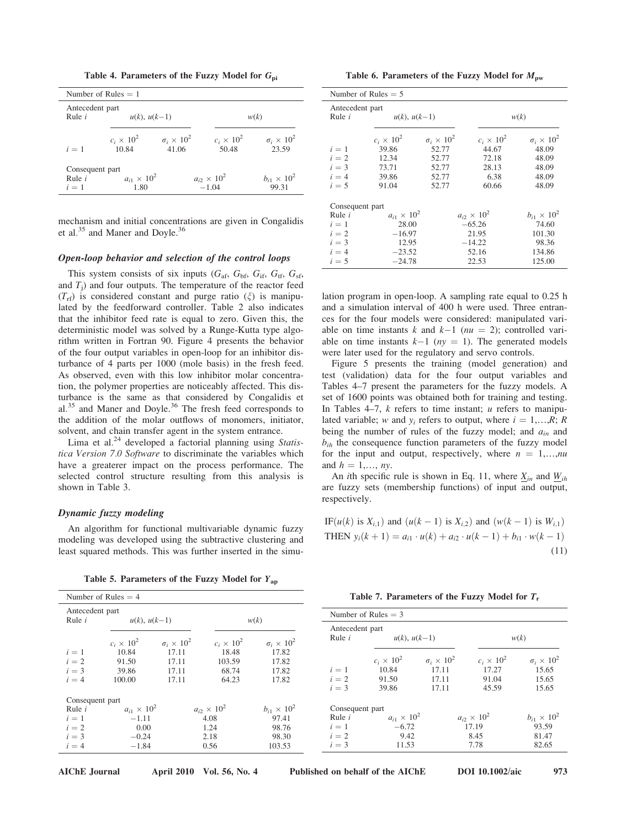Table 4. Parameters of the Fuzzy Model for  $G_{pi}$ 

| Number of Rules $= 1$                                                  |                            |                                 |                                 |                                 |  |  |  |  |
|------------------------------------------------------------------------|----------------------------|---------------------------------|---------------------------------|---------------------------------|--|--|--|--|
| Antecedent part<br>Rule $i$                                            | $u(k)$ , $u(k-1)$          | w(k)                            |                                 |                                 |  |  |  |  |
| $i=1$                                                                  | $c_i \times 10^2$<br>10.84 | $\sigma_i \times 10^2$<br>41.06 | $c_i \times 10^2$<br>50.48      | $\sigma_i \times 10^2$<br>23.59 |  |  |  |  |
| Consequent part<br>$a_{i1} \times 10^{2}$<br>Rule $i$<br>1.80<br>$i=1$ |                            |                                 | $a_{i2} \times 10^2$<br>$-1.04$ | $b_{i1} \times 10^2$<br>99.31   |  |  |  |  |

mechanism and initial concentrations are given in Congalidis et al.<sup>35</sup> and Maner and Doyle.<sup>36</sup>

#### Open-loop behavior and selection of the control loops

This system consists of six inputs ( $G_{af}$ ,  $G_{bf}$ ,  $G_{tf}$ ,  $G_{tf}$ ,  $G_{sf}$ , and  $T_i$ ) and four outputs. The temperature of the reactor feed  $(T_{\text{rf}})$  is considered constant and purge ratio  $(\xi)$  is manipulated by the feedforward controller. Table 2 also indicates that the inhibitor feed rate is equal to zero. Given this, the deterministic model was solved by a Runge-Kutta type algorithm written in Fortran 90. Figure 4 presents the behavior of the four output variables in open-loop for an inhibitor disturbance of 4 parts per 1000 (mole basis) in the fresh feed. As observed, even with this low inhibitor molar concentration, the polymer properties are noticeably affected. This disturbance is the same as that considered by Congalidis et al.<sup>35</sup> and Maner and Doyle.<sup>36</sup> The fresh feed corresponds to the addition of the molar outflows of monomers, initiator, solvent, and chain transfer agent in the system entrance.

Lima et al.<sup>24</sup> developed a factorial planning using Statistica Version 7.0 Software to discriminate the variables which have a greaterer impact on the process performance. The selected control structure resulting from this analysis is shown in Table 3.

## Dynamic fuzzy modeling

 $N_{\text{total}}$   $\mu$   $\alpha$  +  $\beta$   $\beta$  +  $\beta$  +  $\beta$  +  $\beta$  +  $\beta$  +  $\beta$  +  $\beta$  +  $\beta$  +  $\beta$  +  $\beta$  +  $\beta$  +  $\beta$  +  $\beta$  +  $\beta$  +  $\beta$  +  $\beta$  +  $\beta$  +  $\beta$  +  $\beta$  +  $\beta$  +  $\beta$  +  $\beta$  +  $\beta$  +  $\beta$  +  $\beta$  +  $\beta$  +  $\beta$  +  $\beta$ 

An algorithm for functional multivariable dynamic fuzzy modeling was developed using the subtractive clustering and least squared methods. This was further inserted in the simu-

Table 5. Parameters of the Fuzzy Model for  $Y_{\text{ap}}$ 

Table 6. Parameters of the Fuzzy Model for  $M_{\text{pw}}$ 

| Number of Rules $= 5$ |                        |                        |                      |                        |  |  |  |  |
|-----------------------|------------------------|------------------------|----------------------|------------------------|--|--|--|--|
| Antecedent part       |                        |                        |                      |                        |  |  |  |  |
| Rule $i$              | $u(k)$ , $u(k-1)$      |                        |                      | w(k)                   |  |  |  |  |
|                       |                        |                        |                      |                        |  |  |  |  |
|                       | $c_i \times 10^2$      | $\sigma_i \times 10^2$ | $c_i \times 10^2$    | $\sigma_i \times 10^2$ |  |  |  |  |
| $i=1$                 | 39.86                  | 52.77                  | 44.67                | 48.09                  |  |  |  |  |
| $i=2$                 | 12.34                  | 52.77                  | 72.18                | 48.09                  |  |  |  |  |
| $i=3$                 | 73.71                  | 52.77                  | 28.13                | 48.09                  |  |  |  |  |
| $i=4$                 | 39.86                  | 52.77                  | 6.38                 | 48.09                  |  |  |  |  |
| $i=5$                 | 91.04                  | 52.77                  | 60.66                | 48.09                  |  |  |  |  |
|                       |                        |                        |                      |                        |  |  |  |  |
| Consequent part       |                        |                        |                      |                        |  |  |  |  |
| Rule $i$              | $a_{i1} \times 10^{2}$ |                        | $a_{i2} \times 10^2$ | $b_{i1} \times 10^{2}$ |  |  |  |  |
| $i=1$                 | 28.00                  |                        | $-65.26$             | 74.60                  |  |  |  |  |
| $i=2$                 | $-16.97$               |                        | 21.95                | 101.30                 |  |  |  |  |
| $i=3$                 | 12.95                  |                        | $-14.22$             | 98.36                  |  |  |  |  |
| $i=4$                 | $-23.52$               |                        | 52.16                | 134.86                 |  |  |  |  |
| $i=5$                 | $-24.78$               |                        | 22.53                | 125.00                 |  |  |  |  |
|                       |                        |                        |                      |                        |  |  |  |  |

lation program in open-loop. A sampling rate equal to 0.25 h and a simulation interval of 400 h were used. Three entrances for the four models were considered: manipulated variable on time instants k and  $k-1$  ( $nu = 2$ ); controlled variable on time instants  $k-1$  ( $ny = 1$ ). The generated models were later used for the regulatory and servo controls.

Figure 5 presents the training (model generation) and test (validation) data for the four output variables and Tables 4–7 present the parameters for the fuzzy models. A set of 1600 points was obtained both for training and testing. In Tables  $4-7$ , k refers to time instant; u refers to manipulated variable; w and  $y_i$  refers to output, where  $i = 1,...,R; R$ being the number of rules of the fuzzy model; and  $a_{in}$  and  $b_{ih}$  the consequence function parameters of the fuzzy model for the input and output, respectively, where  $n = 1,...,nu$ and  $h = 1,..., ny$ .

An *i*th specific rule is shown in Eq. 11, where  $X_{in}$  and  $W_{ih}$ are fuzzy sets (membership functions) of input and output, respectively.

IF(*u*(*k*) is *X<sub>i,1</sub>*) and (*u*(*k* - 1) is *X<sub>i,2</sub>*) and (*w*(*k* - 1) is *W<sub>i,1</sub>*)  
THEN 
$$
y_i(k + 1) = a_{i1} \cdot u(k) + a_{i2} \cdot u(k - 1) + b_{i1} \cdot w(k - 1)
$$
 (11)

Table 7. Danamatang of the Fuzzy Model for T

| $N$ ulliuci ul Nuics $-$ 4  |                      |                        |                      |                        |                 | Lable <i>1</i> , Lafameters of the Fuzzy Model for L <sub>r</sub> |                        |                      |                        |
|-----------------------------|----------------------|------------------------|----------------------|------------------------|-----------------|-------------------------------------------------------------------|------------------------|----------------------|------------------------|
| Antecedent part<br>Rule $i$ | $u(k)$ , $u(k-1)$    |                        |                      | w(k)                   |                 | Number of Rules $=$ 3                                             |                        |                      |                        |
|                             |                      |                        |                      |                        | Antecedent part |                                                                   |                        |                      |                        |
|                             | $c_i \times 10^2$    | $\sigma_i \times 10^2$ | $c_i \times 10^2$    | $\sigma_i \times 10^2$ | Rule $i$        | $u(k)$ , $u(k-1)$                                                 |                        |                      | w(k)                   |
| $i=1$                       | 10.84                | 17.11                  | 18.48                | 17.82                  |                 |                                                                   |                        |                      |                        |
| $i=2$                       | 91.50                | 17.11                  | 103.59               | 17.82                  |                 | $c_i \times 10^2$                                                 | $\sigma_i \times 10^2$ | $c_i \times 10^2$    | $\sigma_i \times 10^2$ |
| $i=3$                       | 39.86                | 17.11                  | 68.74                | 17.82                  | $i=1$           | 10.84                                                             | 17.11                  | 17.27                | 15.65                  |
| $i=4$                       | 100.00               | 17.11                  | 64.23                | 17.82                  | $i=2$           | 91.50                                                             | 17.11                  | 91.04                | 15.65                  |
|                             |                      |                        |                      |                        | $i=3$           | 39.86                                                             | 17.11                  | 45.59                | 15.65                  |
| Consequent part             |                      |                        |                      |                        |                 |                                                                   |                        |                      |                        |
| Rule $i$                    | $a_{i1} \times 10^2$ |                        | $a_{i2} \times 10^2$ | $b_{i1} \times 10^{2}$ | Consequent part |                                                                   |                        |                      |                        |
| $i=1$                       | $-1.11$              |                        | 4.08                 | 97.41                  | Rule $i$        | $a_{i1} \times 10^{2}$                                            |                        | $a_{i2} \times 10^2$ | $b_{i1} \times 10^{2}$ |
| $i=2$                       | 0.00                 |                        | 1.24                 | 98.76                  | $i=1$           | $-6.72$                                                           |                        | 17.19                | 93.59                  |
| $i=3$                       | $-0.24$              |                        | 2.18                 | 98.30                  | $i=2$           | 9.42                                                              |                        | 8.45                 | 81.47                  |
| $i=4$                       | $-1.84$              |                        | 0.56                 | 103.53                 | $i=3$           | 11.53                                                             |                        | 7.78                 | 82.65                  |
|                             |                      |                        |                      |                        |                 |                                                                   |                        |                      |                        |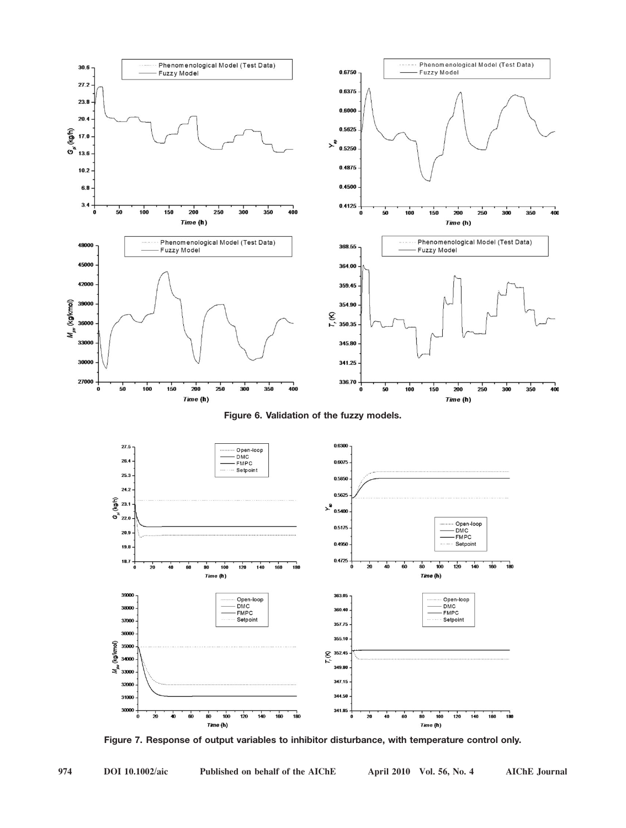

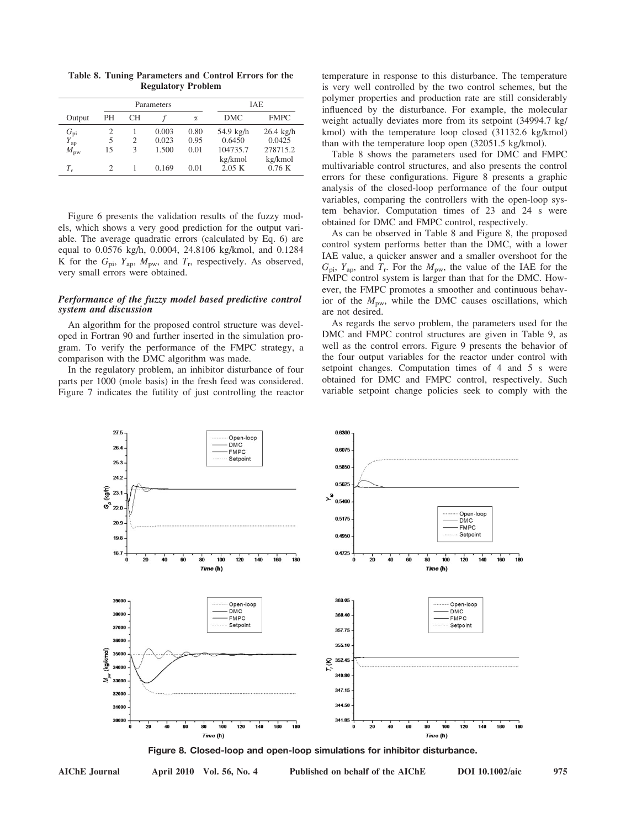Table 8. Tuning Parameters and Control Errors for the Regulatory Problem

|                              |                |               | Parameters | <b>IAE</b> |                   |                     |
|------------------------------|----------------|---------------|------------|------------|-------------------|---------------------|
| Output                       | PН             | CН            |            | α          | <b>DMC</b>        | <b>FMPC</b>         |
|                              | $\overline{c}$ |               | 0.003      | 0.80       | 54.9 kg/h         | $26.4 \text{ kg/h}$ |
| $G_{\rm pi}$<br>$Y_{\rm ap}$ | 5              | 2             | 0.023      | 0.95       | 0.6450            | 0.0425              |
| $M_{\rm{pw}}$                | 15             | $\mathcal{R}$ | 1.500      | 0.01       | 104735.7          | 278715.2            |
| $T_{\rm r}$                  |                |               | 0.169      | 0.01       | kg/kmol<br>2.05 K | kg/kmol<br>0.76K    |

Figure 6 presents the validation results of the fuzzy models, which shows a very good prediction for the output variable. The average quadratic errors (calculated by Eq. 6) are equal to 0.0576 kg/h, 0.0004, 24.8106 kg/kmol, and 0.1284 K for the  $G_{\text{pi}}$ ,  $Y_{\text{ap}}$ ,  $M_{\text{pw}}$ , and  $T_{\text{r}}$ , respectively. As observed, very small errors were obtained.

## Performance of the fuzzy model based predictive control system and discussion

An algorithm for the proposed control structure was developed in Fortran 90 and further inserted in the simulation program. To verify the performance of the FMPC strategy, a comparison with the DMC algorithm was made.

In the regulatory problem, an inhibitor disturbance of four parts per 1000 (mole basis) in the fresh feed was considered. Figure 7 indicates the futility of just controlling the reactor temperature in response to this disturbance. The temperature is very well controlled by the two control schemes, but the polymer properties and production rate are still considerably influenced by the disturbance. For example, the molecular weight actually deviates more from its setpoint (34994.7 kg/ kmol) with the temperature loop closed (31132.6 kg/kmol) than with the temperature loop open (32051.5 kg/kmol).

Table 8 shows the parameters used for DMC and FMPC multivariable control structures, and also presents the control errors for these configurations. Figure 8 presents a graphic analysis of the closed-loop performance of the four output variables, comparing the controllers with the open-loop system behavior. Computation times of 23 and 24 s were obtained for DMC and FMPC control, respectively.

As can be observed in Table 8 and Figure 8, the proposed control system performs better than the DMC, with a lower IAE value, a quicker answer and a smaller overshoot for the  $G_{\text{pi}}$ ,  $Y_{\text{ap}}$ , and  $T_{\text{r}}$ . For the  $M_{\text{pw}}$ , the value of the IAE for the FMPC control system is larger than that for the DMC. However, the FMPC promotes a smoother and continuous behavior of the  $M_{\text{pw}}$ , while the DMC causes oscillations, which are not desired.

As regards the servo problem, the parameters used for the DMC and FMPC control structures are given in Table 9, as well as the control errors. Figure 9 presents the behavior of the four output variables for the reactor under control with setpoint changes. Computation times of 4 and 5 s were obtained for DMC and FMPC control, respectively. Such variable setpoint change policies seek to comply with the



Figure 8. Closed-loop and open-loop simulations for inhibitor disturbance.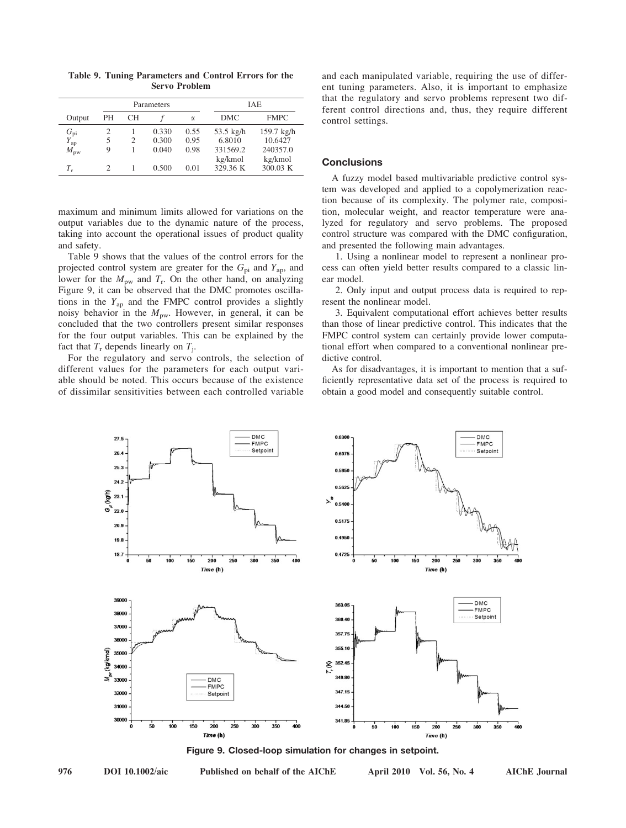Table 9. Tuning Parameters and Control Errors for the Servo Problem

|                                 |        |    | Parameters     |              | <b>TAE</b>            |                                 |
|---------------------------------|--------|----|----------------|--------------|-----------------------|---------------------------------|
| Output                          | PН     | CН |                | $\alpha$     | <b>DMC</b>            | <b>FMPC</b>                     |
| $G_{\rm pi}$                    | 2<br>5 | 2  | 0.330<br>0.300 | 0.55<br>0.95 | 53.5 $kg/h$<br>6.8010 | $159.7 \text{ kg/h}$<br>10.6427 |
| $\overline{Y}_{ap}$<br>$M_{pw}$ | 9      |    | 0.040          | 0.98         | 331569.2              | 240357.0                        |
| $T_{\rm r}$                     |        |    | 0.500          | 0.01         | kg/kmol<br>329.36 K   | kg/kmol<br>300.03 K             |

maximum and minimum limits allowed for variations on the output variables due to the dynamic nature of the process, taking into account the operational issues of product quality and safety.

Table 9 shows that the values of the control errors for the projected control system are greater for the  $G_{\text{pi}}$  and  $Y_{\text{ap}}$ , and lower for the  $M_{\text{pw}}$  and  $T_{\text{r}}$ . On the other hand, on analyzing Figure 9, it can be observed that the DMC promotes oscillations in the  $Y_{ap}$  and the FMPC control provides a slightly noisy behavior in the  $M_{\text{pw}}$ . However, in general, it can be concluded that the two controllers present similar responses for the four output variables. This can be explained by the fact that  $T_r$  depends linearly on  $T_i$ .

For the regulatory and servo controls, the selection of different values for the parameters for each output variable should be noted. This occurs because of the existence of dissimilar sensitivities between each controlled variable and each manipulated variable, requiring the use of different tuning parameters. Also, it is important to emphasize that the regulatory and servo problems represent two different control directions and, thus, they require different control settings.

## **Conclusions**

A fuzzy model based multivariable predictive control system was developed and applied to a copolymerization reaction because of its complexity. The polymer rate, composition, molecular weight, and reactor temperature were analyzed for regulatory and servo problems. The proposed control structure was compared with the DMC configuration, and presented the following main advantages.

1. Using a nonlinear model to represent a nonlinear process can often yield better results compared to a classic linear model.

2. Only input and output process data is required to represent the nonlinear model.

3. Equivalent computational effort achieves better results than those of linear predictive control. This indicates that the FMPC control system can certainly provide lower computational effort when compared to a conventional nonlinear predictive control.

As for disadvantages, it is important to mention that a sufficiently representative data set of the process is required to obtain a good model and consequently suitable control.



Figure 9. Closed-loop simulation for changes in setpoint.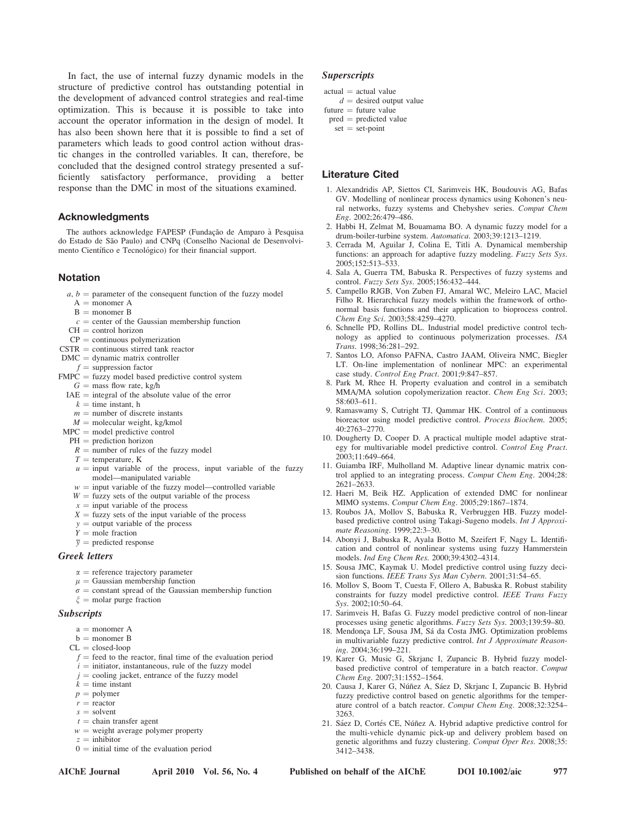In fact, the use of internal fuzzy dynamic models in the structure of predictive control has outstanding potential in the development of advanced control strategies and real-time optimization. This is because it is possible to take into account the operator information in the design of model. It has also been shown here that it is possible to find a set of parameters which leads to good control action without drastic changes in the controlled variables. It can, therefore, be concluded that the designed control strategy presented a sufficiently satisfactory performance, providing a better response than the DMC in most of the situations examined.

## Acknowledgments

The authors acknowledge FAPESP (Fundação de Amparo à Pesquisa do Estado de São Paulo) and CNPq (Conselho Nacional de Desenvolvimento Científico e Tecnológico) for their financial support.

## Notation

- $a, b$  = parameter of the consequent function of the fuzzy model
- $A =$  monomer A
- $B =$  monomer  $B$
- $c$  = center of the Gaussian membership function
- $CH = control horizon$
- $CP =$  continuous polymerization
- $CSTR =$  continuous stirred tank reactor
- $DMC =$  dynamic matrix controller
- $f$  = suppression factor
- $FMPC = fuzzy$  model based predictive control system
	- $G =$  mass flow rate, kg/h
	- $IAE$  = integral of the absolute value of the error
		- $k =$  time instant, h
		- $m =$  number of discrete instants
	- $M =$  molecular weight, kg/kmol
- $MPC =$  model predictive control
- $PH = prediction horizon$ 
	- $R =$  number of rules of the fuzzy model
	- $T =$  temperature, K
	- $u =$  input variable of the process, input variable of the fuzzy model—manipulated variable
	- $w =$  input variable of the fuzzy model—controlled variable
	- $W =$  fuzzy sets of the output variable of the process
	- $x =$  input variable of the process
	- $X = fuzzy sets of the input variable of the process$
	- $y =$  output variable of the process
	- $Y =$  mole fraction
	- $\overline{y}$  = predicted response

## Greek letters

- $\alpha$  = reference trajectory parameter
- $\mu$  = Gaussian membership function
- $\sigma$  = constant spread of the Gaussian membership function
- $\xi$  = molar purge fraction

# Subscripts

- $a =$  monomer A
- $b =$  monomer B
- $CL = closed-loop$
- $f =$  feed to the reactor, final time of the evaluation period
- $i =$  initiator, instantaneous, rule of the fuzzy model
- $j =$  cooling jacket, entrance of the fuzzy model
- $k =$  time instant
- $p =$  polymer  $r =$  reactor
- $s =$ solvent
- $t =$ chain transfer agent
- $w =$  weight average polymer property
- $z =$ inhibitor
- $0 =$  initial time of the evaluation period
- 

# Superscripts

 $actual = actual value$  $d =$  desired output value

- $future = future value$
- $pred = predicted value$
- $set = set-point$
- 

## Literature Cited

- 1. Alexandridis AP, Siettos CI, Sarimveis HK, Boudouvis AG, Bafas GV. Modelling of nonlinear process dynamics using Kohonen's neural networks, fuzzy systems and Chebyshev series. Comput Chem Eng. 2002;26:479–486.
- 2. Habbi H, Zelmat M, Bouamama BO. A dynamic fuzzy model for a drum-boiler-turbine system. Automatica. 2003;39:1213–1219.
- 3. Cerrada M, Aguilar J, Colina E, Titli A. Dynamical membership functions: an approach for adaptive fuzzy modeling. Fuzzy Sets Sys. 2005;152:513–533.
- 4. Sala A, Guerra TM, Babuska R. Perspectives of fuzzy systems and control. Fuzzy Sets Sys. 2005;156:432–444.
- 5. Campello RJGB, Von Zuben FJ, Amaral WC, Meleiro LAC, Maciel Filho R. Hierarchical fuzzy models within the framework of orthonormal basis functions and their application to bioprocess control. Chem Eng Sci. 2003;58:4259–4270.
- 6. Schnelle PD, Rollins DL. Industrial model predictive control technology as applied to continuous polymerization processes. ISA Trans. 1998;36:281–292.
- 7. Santos LO, Afonso PAFNA, Castro JAAM, Oliveira NMC, Biegler LT. On-line implementation of nonlinear MPC: an experimental case study. Control Eng Pract. 2001;9:847–857.
- 8. Park M, Rhee H. Property evaluation and control in a semibatch MMA/MA solution copolymerization reactor. Chem Eng Sci. 2003; 58:603–611.
- 9. Ramaswamy S, Cutright TJ, Qammar HK. Control of a continuous bioreactor using model predictive control. Process Biochem. 2005; 40:2763–2770.
- 10. Dougherty D, Cooper D. A practical multiple model adaptive strategy for multivariable model predictive control. Control Eng Pract. 2003;11:649–664.
- 11. Guiamba IRF, Mulholland M. Adaptive linear dynamic matrix control applied to an integrating process. Comput Chem Eng. 2004;28: 2621–2633.
- 12. Haeri M, Beik HZ. Application of extended DMC for nonlinear MIMO systems. Comput Chem Eng. 2005;29:1867–1874.
- 13. Roubos JA, Mollov S, Babuska R, Verbruggen HB. Fuzzy modelbased predictive control using Takagi-Sugeno models. Int J Approximate Reasoning. 1999;22:3–30.
- 14. Abonyi J, Babuska R, Ayala Botto M, Szeifert F, Nagy L. Identification and control of nonlinear systems using fuzzy Hammerstein models. Ind Eng Chem Res. 2000;39:4302–4314.
- 15. Sousa JMC, Kaymak U. Model predictive control using fuzzy decision functions. IEEE Trans Sys Man Cybern. 2001;31:54-65.
- 16. Mollov S, Boom T, Cuesta F, Ollero A, Babuska R. Robust stability constraints for fuzzy model predictive control. IEEE Trans Fuzzy Sys. 2002;10:50–64.
- 17. Sarimveis H, Bafas G. Fuzzy model predictive control of non-linear processes using genetic algorithms. Fuzzy Sets Sys. 2003;139:59–80.
- 18. Mendonça LF, Sousa JM, Sá da Costa JMG. Optimization problems in multivariable fuzzy predictive control. Int J Approximate Reasoning. 2004;36:199–221.
- 19. Karer G, Music G, Skrjanc I, Zupancic B. Hybrid fuzzy modelbased predictive control of temperature in a batch reactor. Comput Chem Eng. 2007;31:1552–1564.
- 20. Causa J, Karer G, Núñez A, Sáez D, Skrjanc I, Zupancic B. Hybrid fuzzy predictive control based on genetic algorithms for the temperature control of a batch reactor. Comput Chem Eng. 2008;32:3254– 3263.
- 21. Sáez D, Cortés CE, Núñez A. Hybrid adaptive predictive control for the multi-vehicle dynamic pick-up and delivery problem based on genetic algorithms and fuzzy clustering. Comput Oper Res. 2008;35: 3412–3438.